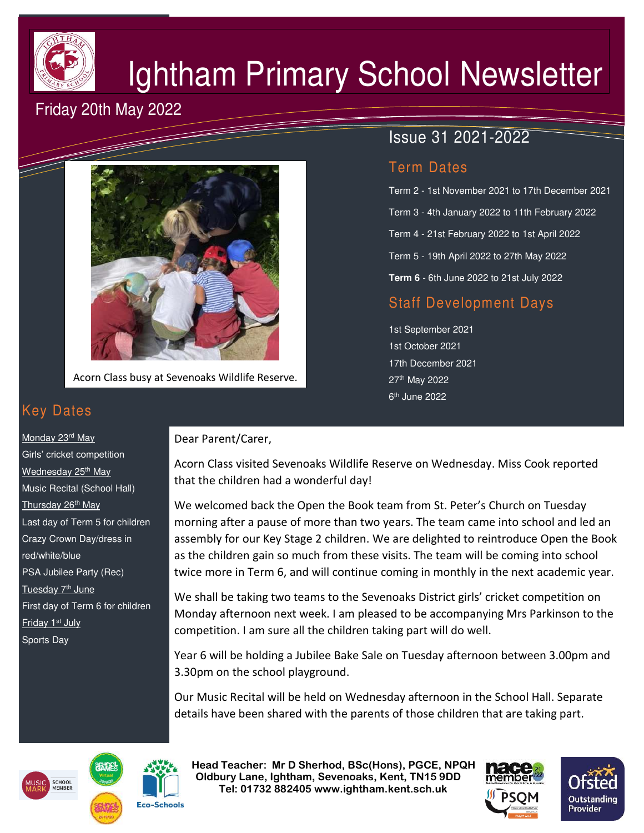

# Ightham Primary School Newsletter

Issue 31 2021-2022

Term 2 - 1st November 2021 to 17th December 2021

Term 3 - 4th January 2022 to 11th February 2022

Term 4 - 21st February 2022 to 1st April 2022

Term 5 - 19th April 2022 to 27th May 2022

**Term 6** - 6th June 2022 to 21st July 2022

Staff Development Days

Term Dates

1st September 2021 1st October 2021 17th December 2021

27th May 2022 6<sup>th</sup> June 2022

## Friday 20th May 2022



Acorn Class busy at Sevenoaks Wildlife Reserve.

## Key Dates

Monday 23<sup>rd</sup> May Girls' cricket competition Wednesday 25<sup>th</sup> May Music Recital (School Hall) Thursday 26<sup>th</sup> May Last day of Term 5 for children Crazy Crown Day/dress in red/white/blue PSA Jubilee Party (Rec) Tuesday 7<sup>th</sup> June First day of Term 6 for children Friday 1<sup>st</sup> July Sports Day

#### Dear Parent/Carer,

Acorn Class visited Sevenoaks Wildlife Reserve on Wednesday. Miss Cook reported that the children had a wonderful day!

We welcomed back the Open the Book team from St. Peter's Church on Tuesday morning after a pause of more than two years. The team came into school and led an assembly for our Key Stage 2 children. We are delighted to reintroduce Open the Book as the children gain so much from these visits. The team will be coming into school twice more in Term 6, and will continue coming in monthly in the next academic year.

We shall be taking two teams to the Sevenoaks District girls' cricket competition on Monday afternoon next week. I am pleased to be accompanying Mrs Parkinson to the competition. I am sure all the children taking part will do well.

Year 6 will be holding a Jubilee Bake Sale on Tuesday afternoon between 3.00pm and 3.30pm on the school playground.

Our Music Recital will be held on Wednesday afternoon in the School Hall. Separate details have been shared with the parents of those children that are taking part.





 **Head Teacher: Mr D Sherhod, BSc(Hons), PGCE, NPQH Oldbury Lane, Ightham, Sevenoaks, Kent, TN15 9DD** EXERIGING THE **TELE: 01732 882405 www.ightham.kent.sch.uk**<br>Tel: 01732 882405 www.ightham.kent.sch.uk



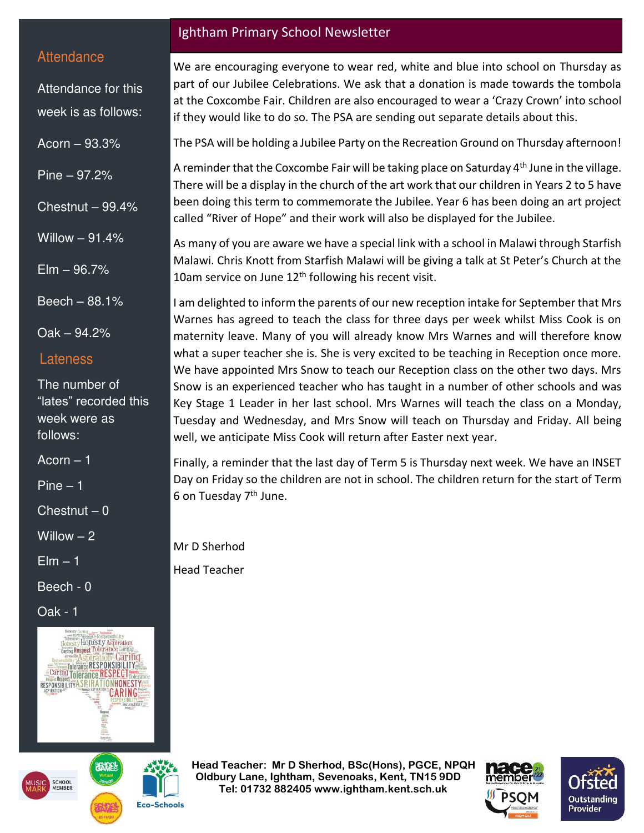#### **Attendance**

Attendance for this week is as follows:

Acorn – 93.3%

Pine – 97.2%

Chestnut  $-99.4%$ 

Willow – 91.4%

 $E$ lm  $-96.7%$ 

Beech – 88.1%

Oak – 94.2%

#### Lateness

The number of "lates" recorded this week were as follows:

 $Acorn - 1$ 

Pine – 1

 $Chestnut - 0$ 

Willow  $-2$ 

 $E$ lm  $-1$ 

Beech - 0

Oak - 1





**Eco-Schools** 

#### Ightham Primary School Newsletter

We are encouraging everyone to wear red, white and blue into school on Thursday as part of our Jubilee Celebrations. We ask that a donation is made towards the tombola at the Coxcombe Fair. Children are also encouraged to wear a 'Crazy Crown' into school if they would like to do so. The PSA are sending out separate details about this.

The PSA will be holding a Jubilee Party on the Recreation Ground on Thursday afternoon!

A reminder that the Coxcombe Fair will be taking place on Saturday  $4<sup>th</sup>$  June in the village. There will be a display in the church of the art work that our children in Years 2 to 5 have been doing this term to commemorate the Jubilee. Year 6 has been doing an art project called "River of Hope" and their work will also be displayed for the Jubilee.

As many of you are aware we have a special link with a school in Malawi through Starfish Malawi. Chris Knott from Starfish Malawi will be giving a talk at St Peter's Church at the 10am service on June 12<sup>th</sup> following his recent visit.

I am delighted to inform the parents of our new reception intake for September that Mrs Warnes has agreed to teach the class for three days per week whilst Miss Cook is on maternity leave. Many of you will already know Mrs Warnes and will therefore know what a super teacher she is. She is very excited to be teaching in Reception once more. We have appointed Mrs Snow to teach our Reception class on the other two days. Mrs Snow is an experienced teacher who has taught in a number of other schools and was Key Stage 1 Leader in her last school. Mrs Warnes will teach the class on a Monday, Tuesday and Wednesday, and Mrs Snow will teach on Thursday and Friday. All being well, we anticipate Miss Cook will return after Easter next year.

Finally, a reminder that the last day of Term 5 is Thursday next week. We have an INSET Day on Friday so the children are not in school. The children return for the start of Term 6 on Tuesday 7<sup>th</sup> June.

Mr D Sherhod

Head Teacher